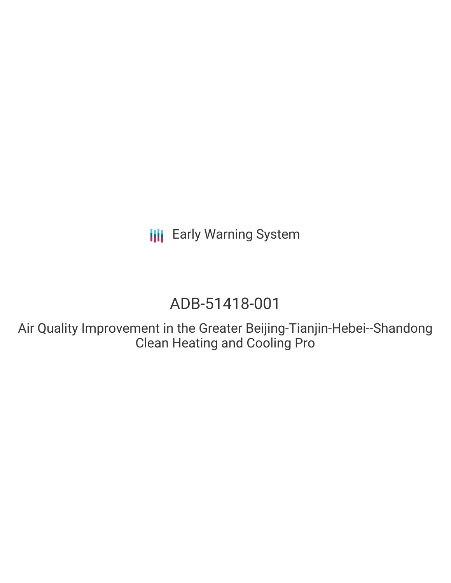**III** Early Warning System

# ADB-51418-001

Air Quality Improvement in the Greater Beijing-Tianjin-Hebei--Shandong Clean Heating and Cooling Pro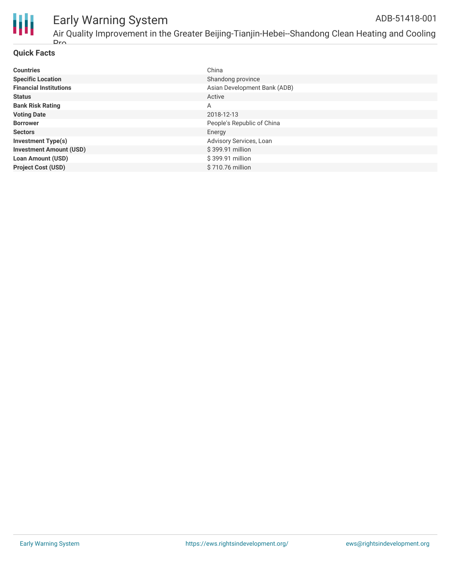

#### Early Warning System Air Quality Improvement in the Greater Beijing-Tianjin-Hebei--Shandong Clean Heating and Cooling ADB-51418-001

### **Quick Facts**

 $Dr<sub>o</sub>$ 

| <b>Countries</b>               | China                        |
|--------------------------------|------------------------------|
| <b>Specific Location</b>       | Shandong province            |
| <b>Financial Institutions</b>  | Asian Development Bank (ADB) |
| <b>Status</b>                  | Active                       |
| <b>Bank Risk Rating</b>        | A                            |
| <b>Voting Date</b>             | 2018-12-13                   |
| <b>Borrower</b>                | People's Republic of China   |
| <b>Sectors</b>                 | Energy                       |
| <b>Investment Type(s)</b>      | Advisory Services, Loan      |
| <b>Investment Amount (USD)</b> | \$399.91 million             |
| <b>Loan Amount (USD)</b>       | \$399.91 million             |
| <b>Project Cost (USD)</b>      | \$710.76 million             |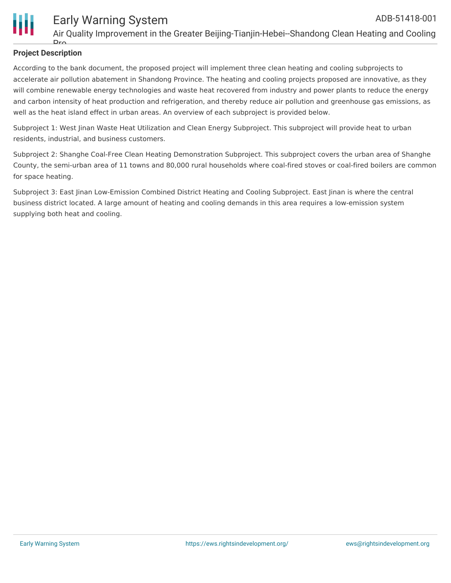

### **Project Description**

Dr

According to the bank document, the proposed project will implement three clean heating and cooling subprojects to accelerate air pollution abatement in Shandong Province. The heating and cooling projects proposed are innovative, as they will combine renewable energy technologies and waste heat recovered from industry and power plants to reduce the energy and carbon intensity of heat production and refrigeration, and thereby reduce air pollution and greenhouse gas emissions, as well as the heat island effect in urban areas. An overview of each subproject is provided below.

Subproject 1: West Jinan Waste Heat Utilization and Clean Energy Subproject. This subproject will provide heat to urban residents, industrial, and business customers.

Subproject 2: Shanghe Coal-Free Clean Heating Demonstration Subproject. This subproject covers the urban area of Shanghe County, the semi-urban area of 11 towns and 80,000 rural households where coal-fired stoves or coal-fired boilers are common for space heating.

Subproject 3: East Jinan Low-Emission Combined District Heating and Cooling Subproject. East Jinan is where the central business district located. A large amount of heating and cooling demands in this area requires a low-emission system supplying both heat and cooling.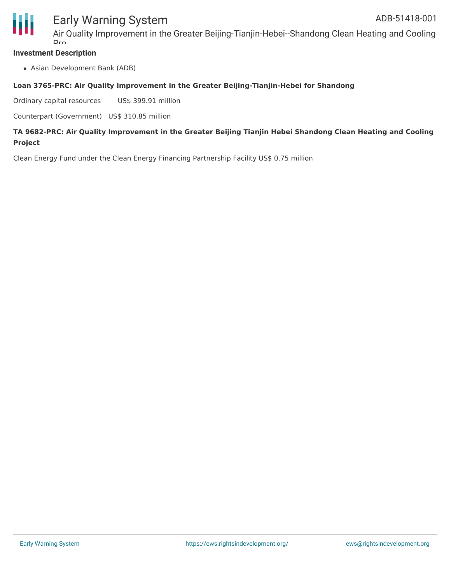

### Early Warning System

Air Quality Improvement in the Greater Beijing-Tianjin-Hebei--Shandong Clean Heating and Cooling Dr.

### **Investment Description**

Asian Development Bank (ADB)

### **Loan 3765-PRC: Air Quality Improvement in the Greater Beijing-Tianjin-Hebei for Shandong**

Ordinary capital resources US\$ 399.91 million

Counterpart (Government) US\$ 310.85 million

### **TA 9682-PRC: Air Quality Improvement in the Greater Beijing Tianjin Hebei Shandong Clean Heating and Cooling Project**

Clean Energy Fund under the Clean Energy Financing Partnership Facility US\$ 0.75 million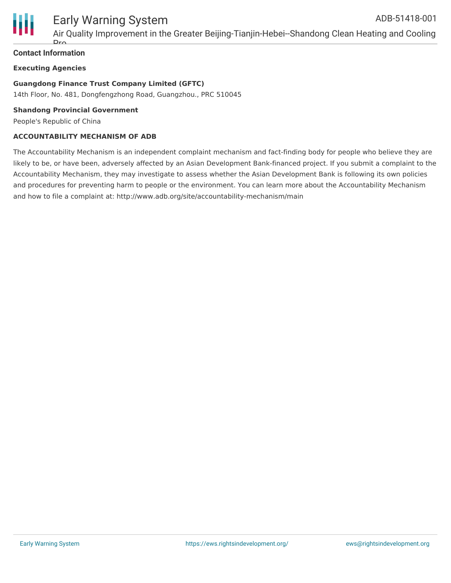

### Early Warning System

Air Quality Improvement in the Greater Beijing-Tianjin-Hebei--Shandong Clean Heating and Cooling D<sub>r</sub>

### **Contact Information**

### **Executing Agencies**

### **Guangdong Finance Trust Company Limited (GFTC)**

14th Floor, No. 481, Dongfengzhong Road, Guangzhou., PRC 510045

#### **Shandong Provincial Government**

People's Republic of China

### **ACCOUNTABILITY MECHANISM OF ADB**

The Accountability Mechanism is an independent complaint mechanism and fact-finding body for people who believe they are likely to be, or have been, adversely affected by an Asian Development Bank-financed project. If you submit a complaint to the Accountability Mechanism, they may investigate to assess whether the Asian Development Bank is following its own policies and procedures for preventing harm to people or the environment. You can learn more about the Accountability Mechanism and how to file a complaint at: http://www.adb.org/site/accountability-mechanism/main